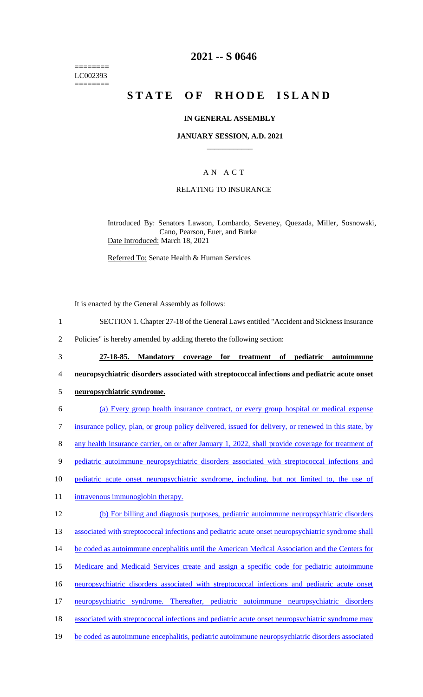======== LC002393 ========

## **2021 -- S 0646**

# **STATE OF RHODE ISLAND**

### **IN GENERAL ASSEMBLY**

### **JANUARY SESSION, A.D. 2021 \_\_\_\_\_\_\_\_\_\_\_\_**

### A N A C T

### RELATING TO INSURANCE

Introduced By: Senators Lawson, Lombardo, Seveney, Quezada, Miller, Sosnowski, Cano, Pearson, Euer, and Burke Date Introduced: March 18, 2021

Referred To: Senate Health & Human Services

It is enacted by the General Assembly as follows:

- 1 SECTION 1. Chapter 27-18 of the General Laws entitled "Accident and Sickness Insurance
- 2 Policies" is hereby amended by adding thereto the following section:
- 3 **27-18-85. Mandatory coverage for treatment of pediatric autoimmune**
- 4 **neuropsychiatric disorders associated with streptococcal infections and pediatric acute onset**
- 5 **neuropsychiatric syndrome.**
- 6 (a) Every group health insurance contract, or every group hospital or medical expense 7 insurance policy, plan, or group policy delivered, issued for delivery, or renewed in this state, by 8 any health insurance carrier, on or after January 1, 2022, shall provide coverage for treatment of 9 pediatric autoimmune neuropsychiatric disorders associated with streptococcal infections and 10 pediatric acute onset neuropsychiatric syndrome, including, but not limited to, the use of 11 intravenous immunoglobin therapy. 12 (b) For billing and diagnosis purposes, pediatric autoimmune neuropsychiatric disorders 13 associated with streptococcal infections and pediatric acute onset neuropsychiatric syndrome shall 14 be coded as autoimmune encephalitis until the American Medical Association and the Centers for 15 Medicare and Medicaid Services create and assign a specific code for pediatric autoimmune 16 neuropsychiatric disorders associated with streptococcal infections and pediatric acute onset 17 neuropsychiatric syndrome. Thereafter, pediatric autoimmune neuropsychiatric disorders 18 associated with streptococcal infections and pediatric acute onset neuropsychiatric syndrome may 19 be coded as autoimmune encephalitis, pediatric autoimmune neuropsychiatric disorders associated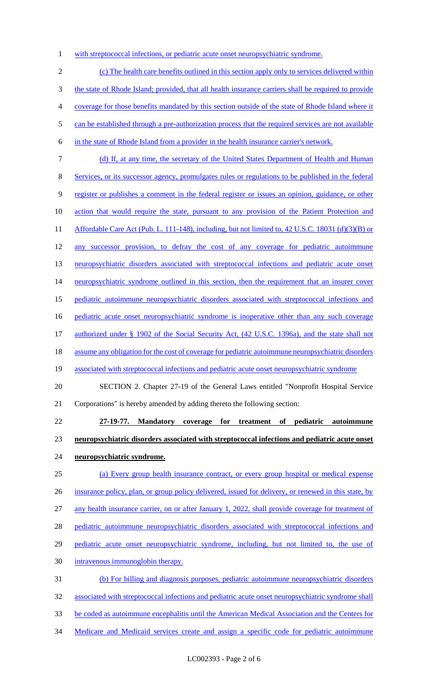1 with streptococcal infections, or pediatric acute onset neuropsychiatric syndrome.

 (c) The health care benefits outlined in this section apply only to services delivered within the state of Rhode Island; provided, that all health insurance carriers shall be required to provide coverage for those benefits mandated by this section outside of the state of Rhode Island where it 5 can be established through a pre-authorization process that the required services are not available in the state of Rhode Island from a provider in the health insurance carrier's network. (d) If, at any time, the secretary of the United States Department of Health and Human

Services, or its successor agency, promulgates rules or regulations to be published in the federal

register or publishes a comment in the federal register or issues an opinion, guidance, or other

- action that would require the state, pursuant to any provision of the Patient Protection and
- 11 Affordable Care Act (Pub. L. 111-148), including, but not limited to, 42 U.S.C. 18031 (d)(3)(B) or
- 12 any successor provision, to defray the cost of any coverage for pediatric autoimmune

13 neuropsychiatric disorders associated with streptococcal infections and pediatric acute onset

14 neuropsychiatric syndrome outlined in this section, then the requirement that an insurer cover

pediatric autoimmune neuropsychiatric disorders associated with streptococcal infections and

pediatric acute onset neuropsychiatric syndrome is inoperative other than any such coverage

- 17 authorized under § 1902 of the Social Security Act, (42 U.S.C. 1396a), and the state shall not
- assume any obligation for the cost of coverage for pediatric autoimmune neuropsychiatric disorders
- 19 associated with streptococcal infections and pediatric acute onset neuropsychiatric syndrome
- SECTION 2. Chapter 27-19 of the General Laws entitled "Nonprofit Hospital Service Corporations" is hereby amended by adding thereto the following section:
- **27-19-77. Mandatory coverage for treatment of pediatric autoimmune neuropsychiatric disorders associated with streptococcal infections and pediatric acute onset neuropsychiatric syndrome.**
- (a) Every group health insurance contract, or every group hospital or medical expense insurance policy, plan, or group policy delivered, issued for delivery, or renewed in this state, by any health insurance carrier, on or after January 1, 2022, shall provide coverage for treatment of pediatric autoimmune neuropsychiatric disorders associated with streptococcal infections and 29 pediatric acute onset neuropsychiatric syndrome, including, but not limited to, the use of intravenous immunoglobin therapy. (b) For billing and diagnosis purposes, pediatric autoimmune neuropsychiatric disorders associated with streptococcal infections and pediatric acute onset neuropsychiatric syndrome shall
- be coded as autoimmune encephalitis until the American Medical Association and the Centers for
- 34 Medicare and Medicaid services create and assign a specific code for pediatric autoimmune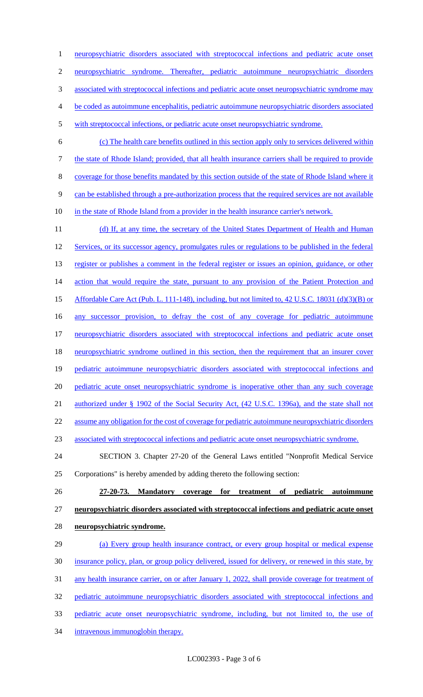neuropsychiatric disorders associated with streptococcal infections and pediatric acute onset neuropsychiatric syndrome. Thereafter, pediatric autoimmune neuropsychiatric disorders 3 associated with streptococcal infections and pediatric acute onset neuropsychiatric syndrome may be coded as autoimmune encephalitis, pediatric autoimmune neuropsychiatric disorders associated

- with streptococcal infections, or pediatric acute onset neuropsychiatric syndrome.
- (c) The health care benefits outlined in this section apply only to services delivered within the state of Rhode Island; provided, that all health insurance carriers shall be required to provide coverage for those benefits mandated by this section outside of the state of Rhode Island where it can be established through a pre-authorization process that the required services are not available 10 in the state of Rhode Island from a provider in the health insurance carrier's network.

11 (d) If, at any time, the secretary of the United States Department of Health and Human 12 Services, or its successor agency, promulgates rules or regulations to be published in the federal 13 register or publishes a comment in the federal register or issues an opinion, guidance, or other 14 action that would require the state, pursuant to any provision of the Patient Protection and Affordable Care Act (Pub. L. 111-148), including, but not limited to, 42 U.S.C. 18031 (d)(3)(B) or 16 any successor provision, to defray the cost of any coverage for pediatric autoimmune 17 neuropsychiatric disorders associated with streptococcal infections and pediatric acute onset neuropsychiatric syndrome outlined in this section, then the requirement that an insurer cover 19 pediatric autoimmune neuropsychiatric disorders associated with streptococcal infections and pediatric acute onset neuropsychiatric syndrome is inoperative other than any such coverage 21 authorized under § 1902 of the Social Security Act, (42 U.S.C. 1396a), and the state shall not assume any obligation for the cost of coverage for pediatric autoimmune neuropsychiatric disorders associated with streptococcal infections and pediatric acute onset neuropsychiatric syndrome. SECTION 3. Chapter 27-20 of the General Laws entitled "Nonprofit Medical Service

- Corporations" is hereby amended by adding thereto the following section:
- 

# **27-20-73. Mandatory coverage for treatment of pediatric autoimmune neuropsychiatric disorders associated with streptococcal infections and pediatric acute onset**

- **neuropsychiatric syndrome.**
- 29 (a) Every group health insurance contract, or every group hospital or medical expense insurance policy, plan, or group policy delivered, issued for delivery, or renewed in this state, by 31 any health insurance carrier, on or after January 1, 2022, shall provide coverage for treatment of pediatric autoimmune neuropsychiatric disorders associated with streptococcal infections and pediatric acute onset neuropsychiatric syndrome, including, but not limited to, the use of intravenous immunoglobin therapy.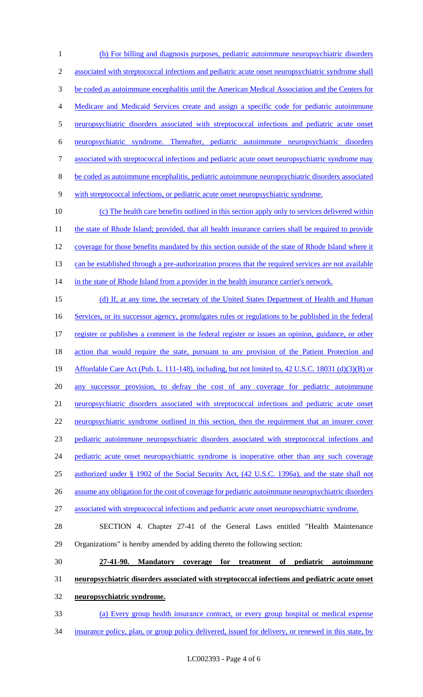(b) For billing and diagnosis purposes, pediatric autoimmune neuropsychiatric disorders associated with streptococcal infections and pediatric acute onset neuropsychiatric syndrome shall be coded as autoimmune encephalitis until the American Medical Association and the Centers for Medicare and Medicaid Services create and assign a specific code for pediatric autoimmune neuropsychiatric disorders associated with streptococcal infections and pediatric acute onset neuropsychiatric syndrome. Thereafter, pediatric autoimmune neuropsychiatric disorders associated with streptococcal infections and pediatric acute onset neuropsychiatric syndrome may be coded as autoimmune encephalitis, pediatric autoimmune neuropsychiatric disorders associated with streptococcal infections, or pediatric acute onset neuropsychiatric syndrome. (c) The health care benefits outlined in this section apply only to services delivered within 11 the state of Rhode Island; provided, that all health insurance carriers shall be required to provide 12 coverage for those benefits mandated by this section outside of the state of Rhode Island where it 13 can be established through a pre-authorization process that the required services are not available 14 in the state of Rhode Island from a provider in the health insurance carrier's network. 15 (d) If, at any time, the secretary of the United States Department of Health and Human 16 Services, or its successor agency, promulgates rules or regulations to be published in the federal register or publishes a comment in the federal register or issues an opinion, guidance, or other 18 action that would require the state, pursuant to any provision of the Patient Protection and Affordable Care Act (Pub. L. 111-148), including, but not limited to, 42 U.S.C. 18031 (d)(3)(B) or 20 any successor provision, to defray the cost of any coverage for pediatric autoimmune neuropsychiatric disorders associated with streptococcal infections and pediatric acute onset 22 neuropsychiatric syndrome outlined in this section, then the requirement that an insurer cover pediatric autoimmune neuropsychiatric disorders associated with streptococcal infections and 24 pediatric acute onset neuropsychiatric syndrome is inoperative other than any such coverage authorized under § 1902 of the Social Security Act, (42 U.S.C. 1396a), and the state shall not assume any obligation for the cost of coverage for pediatric autoimmune neuropsychiatric disorders associated with streptococcal infections and pediatric acute onset neuropsychiatric syndrome. SECTION 4. Chapter 27-41 of the General Laws entitled "Health Maintenance Organizations" is hereby amended by adding thereto the following section: **27-41-90. Mandatory coverage for treatment of pediatric autoimmune neuropsychiatric disorders associated with streptococcal infections and pediatric acute onset neuropsychiatric syndrome.** 

- (a) Every group health insurance contract, or every group hospital or medical expense
- insurance policy, plan, or group policy delivered, issued for delivery, or renewed in this state, by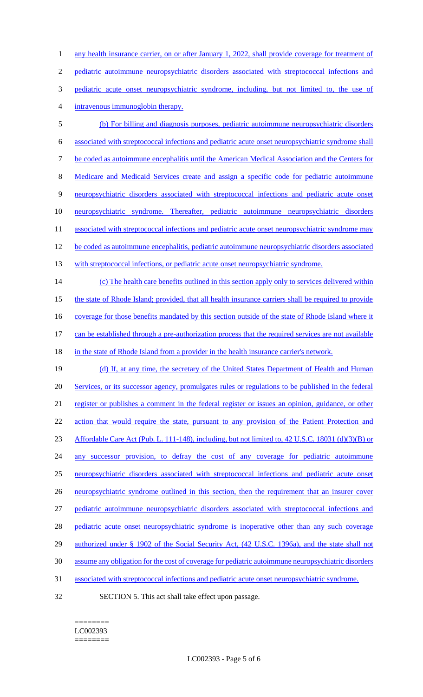1 any health insurance carrier, on or after January 1, 2022, shall provide coverage for treatment of pediatric autoimmune neuropsychiatric disorders associated with streptococcal infections and pediatric acute onset neuropsychiatric syndrome, including, but not limited to, the use of intravenous immunoglobin therapy. (b) For billing and diagnosis purposes, pediatric autoimmune neuropsychiatric disorders

- 6 associated with streptococcal infections and pediatric acute onset neuropsychiatric syndrome shall 7 be coded as autoimmune encephalitis until the American Medical Association and the Centers for 8 Medicare and Medicaid Services create and assign a specific code for pediatric autoimmune 9 neuropsychiatric disorders associated with streptococcal infections and pediatric acute onset 10 neuropsychiatric syndrome. Thereafter, pediatric autoimmune neuropsychiatric disorders 11 associated with streptococcal infections and pediatric acute onset neuropsychiatric syndrome may 12 be coded as autoimmune encephalitis, pediatric autoimmune neuropsychiatric disorders associated
- 13 with streptococcal infections, or pediatric acute onset neuropsychiatric syndrome.

14 (c) The health care benefits outlined in this section apply only to services delivered within 15 the state of Rhode Island; provided, that all health insurance carriers shall be required to provide 16 coverage for those benefits mandated by this section outside of the state of Rhode Island where it 17 can be established through a pre-authorization process that the required services are not available

18 in the state of Rhode Island from a provider in the health insurance carrier's network.

19 (d) If, at any time, the secretary of the United States Department of Health and Human 20 Services, or its successor agency, promulgates rules or regulations to be published in the federal 21 register or publishes a comment in the federal register or issues an opinion, guidance, or other 22 action that would require the state, pursuant to any provision of the Patient Protection and 23 Affordable Care Act (Pub. L. 111-148), including, but not limited to, 42 U.S.C. 18031 (d)(3)(B) or 24 any successor provision, to defray the cost of any coverage for pediatric autoimmune 25 neuropsychiatric disorders associated with streptococcal infections and pediatric acute onset 26 neuropsychiatric syndrome outlined in this section, then the requirement that an insurer cover 27 pediatric autoimmune neuropsychiatric disorders associated with streptococcal infections and 28 pediatric acute onset neuropsychiatric syndrome is inoperative other than any such coverage 29 authorized under § 1902 of the Social Security Act, (42 U.S.C. 1396a), and the state shall not 30 assume any obligation for the cost of coverage for pediatric autoimmune neuropsychiatric disorders 31 associated with streptococcal infections and pediatric acute onset neuropsychiatric syndrome.

========

32 SECTION 5. This act shall take effect upon passage.

LC002393 ========